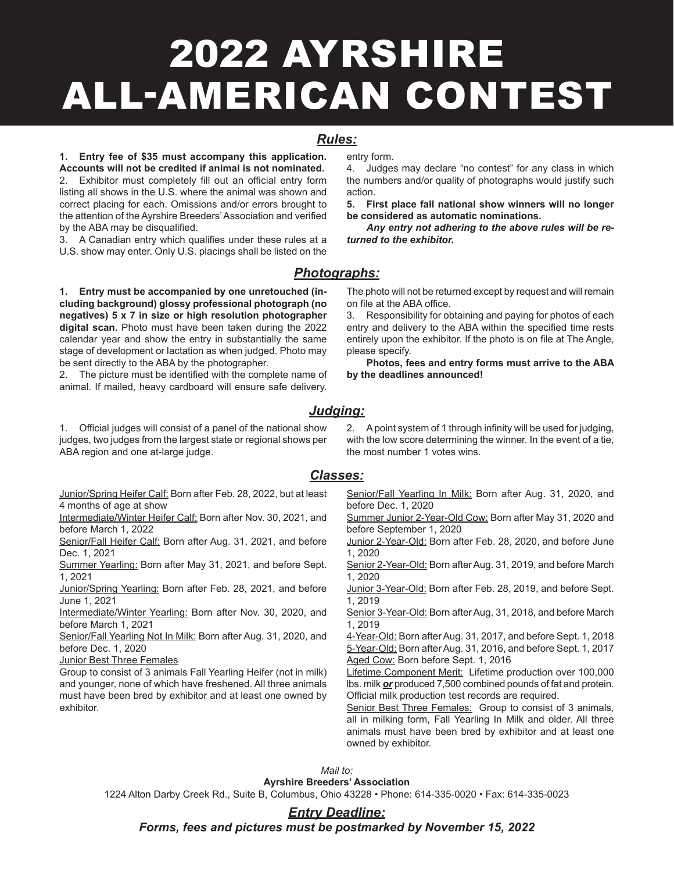# 2022 AYRSHIRE ALL-AMERICAN CONTEST

### *Rules:*

**1. Entry fee of \$35 must accompany this application. Accounts will not be credited if animal is not nominated.**

2. Exhibitor must completely fill out an official entry form listing all shows in the U.S. where the animal was shown and correct placing for each. Omissions and/or errors brought to the attention of the Ayrshire Breeders' Association and verified by the ABA may be disqualified.

3. A Canadian entry which qualifies under these rules at a U.S. show may enter. Only U.S. placings shall be listed on the

**1. Entry must be accompanied by one unretouched (in-**

**cluding background) glossy professional photograph (no negatives) 5 x 7 in size or high resolution photographer digital scan.** Photo must have been taken during the 2022 calendar year and show the entry in substantially the same stage of development or lactation as when judged. Photo may be sent directly to the ABA by the photographer.

2. The picture must be identified with the complete name of animal. If mailed, heavy cardboard will ensure safe delivery.

1. Official judges will consist of a panel of the national show judges, two judges from the largest state or regional shows per ABA region and one at-large judge.

Junior/Spring Heifer Calf: Born after Feb. 28, 2022, but at least 4 months of age at show

Intermediate/Winter Heifer Calf: Born after Nov. 30, 2021, and before March 1, 2022

Senior/Fall Heifer Calf: Born after Aug. 31, 2021, and before Dec. 1, 2021

Summer Yearling: Born after May 31, 2021, and before Sept. 1, 2021

Junior/Spring Yearling: Born after Feb. 28, 2021, and before June 1, 2021

Intermediate/Winter Yearling: Born after Nov. 30, 2020, and before March 1, 2021

Senior/Fall Yearling Not In Milk: Born after Aug. 31, 2020, and before Dec. 1, 2020

Junior Best Three Females

Group to consist of 3 animals Fall Yearling Heifer (not in milk) and younger, none of which have freshened. All three animals must have been bred by exhibitor and at least one owned by exhibitor.

entry form.

4. Judges may declare "no contest" for any class in which the numbers and/or quality of photographs would justify such action.

**5. First place fall national show winners will no longer be considered as automatic nominations.**

*Any entry not adhering to the above rules will be returned to the exhibitor.*

*Photographs:*

The photo will not be returned except by request and will remain on file at the ABA office.

3. Responsibility for obtaining and paying for photos of each entry and delivery to the ABA within the specified time rests entirely upon the exhibitor. If the photo is on file at The Angle, please specify.

**Photos, fees and entry forms must arrive to the ABA by the deadlines announced!**

### *Judging:*

2. Apoint system of 1 through infinity will be used for judging, with the low score determining the winner. In the event of a tie, the most number 1 votes wins.

#### *Classes:*

Senior/Fall Yearling In Milk: Born after Aug. 31, 2020, and before Dec. 1, 2020

Summer Junior 2-Year-Old Cow: Born after May 31, 2020 and before September 1, 2020

Junior 2-Year-Old: Born after Feb. 28, 2020, and before June 1, 2020

Senior 2-Year-Old: Born after Aug. 31, 2019, and before March 1, 2020

Junior 3-Year-Old: Born after Feb. 28, 2019, and before Sept. 1, 2019

Senior 3-Year-Old: Born after Aug. 31, 2018, and before March 1, 2019

4-Year-Old: Born after Aug. 31, 2017, and before Sept. 1, 2018 5-Year-Old: Born afterAug. 31, 2016, and before Sept. 1, 2017 Aged Cow: Born before Sept. 1, 2016

Lifetime Component Merit: Lifetime production over 100,000 lbs. milk *or* produced 7,500 combined pounds of fat and protein. Official milk production test records are required.

Senior Best Three Females: Group to consist of 3 animals, all in milking form, Fall Yearling In Milk and older. All three animals must have been bred by exhibitor and at least one owned by exhibitor.

#### *Mail to:*

**Ayrshire Breeders' Association**

1224 Alton Darby Creek Rd., Suite B, Columbus, Ohio 43228 • Phone: 614-335-0020 • Fax: 614-335-0023

#### *Entry Deadline:*

*Forms, fees and pictures must be postmarked by November 15, 2022*